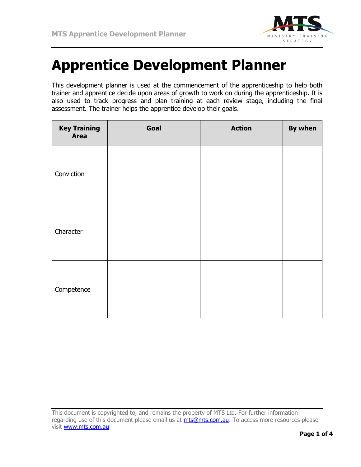

## **Apprentice Development Planner**

This development planner is used at the commencement of the apprenticeship to help both trainer and apprentice decide upon areas of growth to work on during the apprenticeship. It is also used to track progress and plan training at each review stage, including the final assessment. The trainer helps the apprentice develop their goals.

| <b>Key Training</b><br><b>Area</b> | Goal | <b>Action</b> | By when |
|------------------------------------|------|---------------|---------|
| Conviction                         |      |               |         |
| Character                          |      |               |         |
| Competence                         |      |               |         |

This document is copyrighted to, and remains the property of MTS Ltd. For further information regarding use of this document please email us at *mts@mts.com.au*. To access more resources please visit [www.mts.com.au](http://www.mts.com.au/)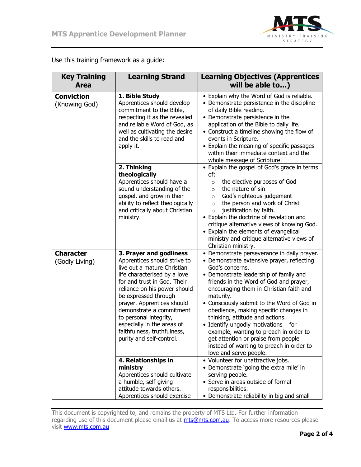

| <b>Key Training</b>                | <b>Learning Strand</b>                                                                                                                                                                                                                                                                                                                                                                     | <b>Learning Objectives (Apprentices</b>                                                                                                                                                                                                                                                                                                                                                                                                                                                                                                                                             |  |
|------------------------------------|--------------------------------------------------------------------------------------------------------------------------------------------------------------------------------------------------------------------------------------------------------------------------------------------------------------------------------------------------------------------------------------------|-------------------------------------------------------------------------------------------------------------------------------------------------------------------------------------------------------------------------------------------------------------------------------------------------------------------------------------------------------------------------------------------------------------------------------------------------------------------------------------------------------------------------------------------------------------------------------------|--|
| <b>Area</b>                        |                                                                                                                                                                                                                                                                                                                                                                                            | will be able to)                                                                                                                                                                                                                                                                                                                                                                                                                                                                                                                                                                    |  |
| <b>Conviction</b><br>(Knowing God) | 1. Bible Study<br>Apprentices should develop<br>commitment to the Bible,<br>respecting it as the revealed<br>and reliable Word of God, as<br>well as cultivating the desire<br>and the skills to read and<br>apply it.                                                                                                                                                                     | • Explain why the Word of God is reliable.<br>• Demonstrate persistence in the discipline<br>of daily Bible reading.<br>• Demonstrate persistence in the<br>application of the Bible to daily life.<br>• Construct a timeline showing the flow of<br>events in Scripture.<br>• Explain the meaning of specific passages<br>within their immediate context and the<br>whole message of Scripture.                                                                                                                                                                                    |  |
|                                    | 2. Thinking<br>theologically<br>Apprentices should have a<br>sound understanding of the<br>gospel, and grow in their<br>ability to reflect theologically<br>and critically about Christian<br>ministry.                                                                                                                                                                                    | • Explain the gospel of God's grace in terms<br>of:<br>the elective purposes of God<br>$\circ$<br>the nature of sin<br>$\circ$<br>God's righteous judgement<br>$\circ$<br>the person and work of Christ<br>$\circ$<br>justification by faith.<br>$\circ$<br>• Explain the doctrine of revelation and<br>critique alternative views of knowing God.<br>• Explain the elements of evangelical<br>ministry and critique alternative views of<br>Christian ministry.                                                                                                                    |  |
| <b>Character</b><br>(Godly Living) | 3. Prayer and godliness<br>Apprentices should strive to<br>live out a mature Christian<br>life characterised by a love<br>for and trust in God. Their<br>reliance on his power should<br>be expressed through<br>prayer. Apprentices should<br>demonstrate a commitment<br>to personal integrity,<br>especially in the areas of<br>faithfulness, truthfulness,<br>purity and self-control. | • Demonstrate perseverance in daily prayer.<br>• Demonstrate extensive prayer, reflecting<br>God's concerns.<br>• Demonstrate leadership of family and<br>friends in the Word of God and prayer,<br>encouraging them in Christian faith and<br>maturity.<br>• Consciously submit to the Word of God in<br>obedience, making specific changes in<br>thinking, attitude and actions.<br>• Identify ungodly motivations $-$ for<br>example, wanting to preach in order to<br>get attention or praise from people<br>instead of wanting to preach in order to<br>love and serve people. |  |
|                                    | 4. Relationships in<br>ministry<br>Apprentices should cultivate<br>a humble, self-giving<br>attitude towards others.<br>Apprentices should exercise                                                                                                                                                                                                                                        | • Volunteer for unattractive jobs.<br>• Demonstrate 'going the extra mile' in<br>serving people.<br>• Serve in areas outside of formal<br>responsibilities.<br>• Demonstrate reliability in big and small                                                                                                                                                                                                                                                                                                                                                                           |  |

Use this training framework as a guide:

This document is copyrighted to, and remains the property of MTS Ltd. For further information regarding use of this document please email us at *mts@mts.com.au*. To access more resources please visit [www.mts.com.au](http://www.mts.com.au/)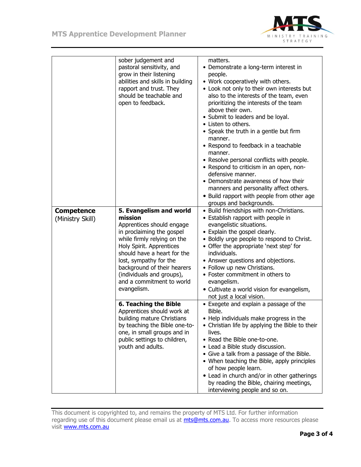

|                   | sober judgement and<br>pastoral sensitivity, and<br>grow in their listening<br>abilities and skills in building<br>rapport and trust. They<br>should be teachable and<br>open to feedback.                                                                                                    | matters.<br>• Demonstrate a long-term interest in<br>people.<br>• Work cooperatively with others.<br>• Look not only to their own interests but<br>also to the interests of the team, even<br>prioritizing the interests of the team<br>above their own.<br>• Submit to leaders and be loyal.<br>• Listen to others.<br>• Speak the truth in a gentle but firm<br>manner.<br>• Respond to feedback in a teachable<br>manner.<br>• Resolve personal conflicts with people.<br>• Respond to criticism in an open, non-<br>defensive manner.<br>• Demonstrate awareness of how their<br>manners and personality affect others.<br>• Build rapport with people from other age<br>groups and backgrounds. |
|-------------------|-----------------------------------------------------------------------------------------------------------------------------------------------------------------------------------------------------------------------------------------------------------------------------------------------|------------------------------------------------------------------------------------------------------------------------------------------------------------------------------------------------------------------------------------------------------------------------------------------------------------------------------------------------------------------------------------------------------------------------------------------------------------------------------------------------------------------------------------------------------------------------------------------------------------------------------------------------------------------------------------------------------|
| <b>Competence</b> | 5. Evangelism and world                                                                                                                                                                                                                                                                       | • Build friendships with non-Christians.                                                                                                                                                                                                                                                                                                                                                                                                                                                                                                                                                                                                                                                             |
| (Ministry Skill)  | mission<br>Apprentices should engage<br>in proclaiming the gospel<br>while firmly relying on the<br>Holy Spirit. Apprentices<br>should have a heart for the<br>lost, sympathy for the<br>background of their hearers<br>(individuals and groups),<br>and a commitment to world<br>evangelism. | • Establish rapport with people in<br>evangelistic situations.<br>• Explain the gospel clearly.<br>• Boldly urge people to respond to Christ.<br>• Offer the appropriate 'next step' for<br>individuals.<br>• Answer questions and objections.<br>• Follow up new Christians.<br>• Foster commitment in others to<br>evangelism.<br>• Cultivate a world vision for evangelism,<br>not just a local vision.                                                                                                                                                                                                                                                                                           |
|                   | 6. Teaching the Bible<br>Apprentices should work at<br>building mature Christians<br>by teaching the Bible one-to-<br>one, in small groups and in<br>public settings to children,<br>youth and adults.                                                                                        | • Exegete and explain a passage of the<br>Bible.<br>• Help individuals make progress in the<br>• Christian life by applying the Bible to their<br>lives.<br>• Read the Bible one-to-one.<br>• Lead a Bible study discussion.<br>• Give a talk from a passage of the Bible.<br>• When teaching the Bible, apply principles<br>of how people learn.<br>• Lead in church and/or in other gatherings<br>by reading the Bible, chairing meetings,<br>interviewing people and so on.                                                                                                                                                                                                                       |

This document is copyrighted to, and remains the property of MTS Ltd. For further information regarding use of this document please email us at *mts@mts.com.au*. To access more resources please visit [www.mts.com.au](http://www.mts.com.au/)